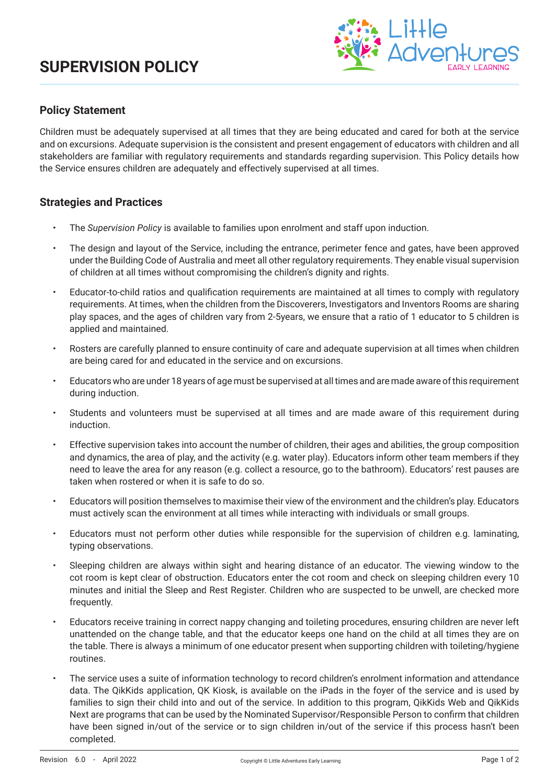

## **Policy Statement**

Children must be adequately supervised at all times that they are being educated and cared for both at the service and on excursions. Adequate supervision is the consistent and present engagement of educators with children and all stakeholders are familiar with regulatory requirements and standards regarding supervision. This Policy details how the Service ensures children are adequately and effectively supervised at all times.

### **Strategies and Practices**

- The *Supervision Policy* is available to families upon enrolment and staff upon induction.
- The design and layout of the Service, including the entrance, perimeter fence and gates, have been approved under the Building Code of Australia and meet all other regulatory requirements. They enable visual supervision of children at all times without compromising the children's dignity and rights.
- Educator-to-child ratios and qualification requirements are maintained at all times to comply with regulatory requirements. At times, when the children from the Discoverers, Investigators and Inventors Rooms are sharing play spaces, and the ages of children vary from 2-5years, we ensure that a ratio of 1 educator to 5 children is applied and maintained.
- Rosters are carefully planned to ensure continuity of care and adequate supervision at all times when children are being cared for and educated in the service and on excursions.
- Educators who are under 18 years of age must be supervised at all times and are made aware of this requirement during induction.
- Students and volunteers must be supervised at all times and are made aware of this requirement during induction.
- Effective supervision takes into account the number of children, their ages and abilities, the group composition and dynamics, the area of play, and the activity (e.g. water play). Educators inform other team members if they need to leave the area for any reason (e.g. collect a resource, go to the bathroom). Educators' rest pauses are taken when rostered or when it is safe to do so.
- Educators will position themselves to maximise their view of the environment and the children's play. Educators must actively scan the environment at all times while interacting with individuals or small groups.
- Educators must not perform other duties while responsible for the supervision of children e.g. laminating, typing observations.
- Sleeping children are always within sight and hearing distance of an educator. The viewing window to the cot room is kept clear of obstruction. Educators enter the cot room and check on sleeping children every 10 minutes and initial the Sleep and Rest Register. Children who are suspected to be unwell, are checked more frequently.
- Educators receive training in correct nappy changing and toileting procedures, ensuring children are never left unattended on the change table, and that the educator keeps one hand on the child at all times they are on the table. There is always a minimum of one educator present when supporting children with toileting/hygiene routines.
- The service uses a suite of information technology to record children's enrolment information and attendance data. The QikKids application, QK Kiosk, is available on the iPads in the foyer of the service and is used by families to sign their child into and out of the service. In addition to this program, QikKids Web and QikKids Next are programs that can be used by the Nominated Supervisor/Responsible Person to confirm that children have been signed in/out of the service or to sign children in/out of the service if this process hasn't been completed.